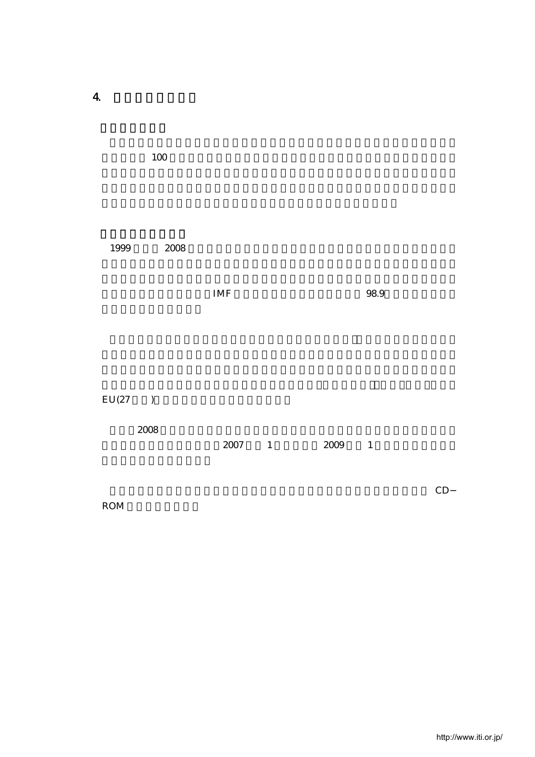$100$ 

 $1999$   $2008$ 

| <b>IMF</b> | 98.9 |
|------------|------|
|            |      |

 $EU(27)$ 

 $2008$  $2007$  1  $2009$  1

 $ROM$ 

 $CD$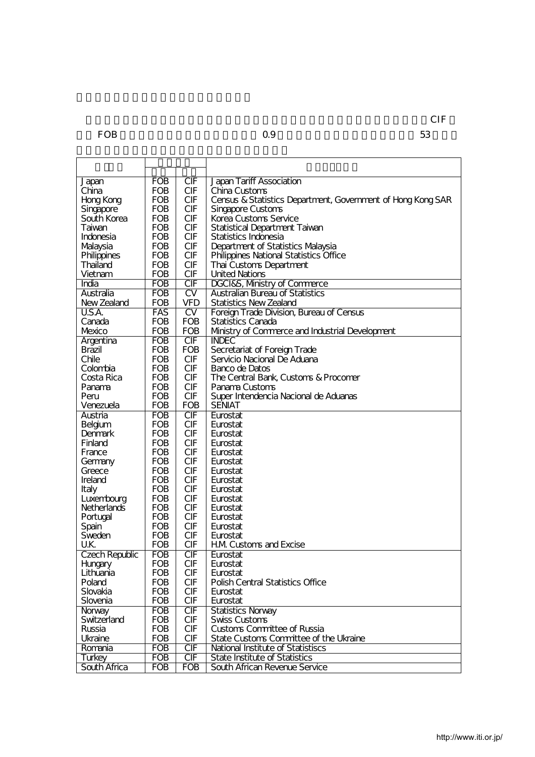| <b>CIF</b> |
|------------|
|            |

| Japan              | FOB        | CIF        | Japan Tariff Association                                    |
|--------------------|------------|------------|-------------------------------------------------------------|
| China              | FOB        | <b>CIF</b> | China Customs                                               |
| Hong Kong          | FOB        | <b>CIF</b> | Census & Statistics Department, Government of Hong Kong SAR |
| Singapore          | FOB        | <b>CIF</b> | <b>Singapore Customs</b>                                    |
| South Korea        | FOB        | <b>CIF</b> | Korea Customs Service                                       |
| Taiwan             | <b>FOB</b> | <b>CIF</b> | Statistical Department Taiwan                               |
| Indonesia          | <b>FOB</b> | <b>CIF</b> | Statistics Indonesia                                        |
| Malaysia           | FOB        | <b>CIF</b> | Department of Statistics Malaysia                           |
| Philippines        | FOB        | <b>CIF</b> | Philippines National Statistics Office                      |
| Thailand           | FOB        | <b>CIF</b> | Thai Customs Department                                     |
| Vietnam            | <b>FOB</b> | <b>CIF</b> | <b>United Nations</b>                                       |
| India              | FOB        | CIF        | DGCI&S, Mnistry of Commerce                                 |
| Australia          | FOB        | <b>CV</b>  | <b>Australian Bureau of Statistics</b>                      |
| New Zealand        | FOB        | <b>VFD</b> | <b>Statistics New Zealand</b>                               |
| U.S.A.             | <b>FAS</b> | CV         | Foreign Trade Division, Bureau of Census                    |
| Canada             | FOB        | FOB        | <b>Statistics Canada</b>                                    |
| Mexico             | FOB        | FOB        | Mnistry of Commerce and Industrial Development              |
| Argentina          | <b>FOB</b> | <b>CIF</b> | <b>INDEC</b>                                                |
| Brazil             | FOB        | FOB        | Secretariat of Foreign Trade                                |
| Chile              | FOB        | <b>CIF</b> | Servicio Nacional De Aduana                                 |
| Colombia           | FOB        | <b>CIF</b> | Banco de Datos                                              |
| Costa Rica         | FOB        | <b>CIF</b> | The Central Bank, Customs & Procomer                        |
| Panama             | FOB        | <b>CIF</b> | Panama Customs                                              |
| Peru               | FOB        | <b>CIF</b> | Super Intendencia Nacional de Aduanas                       |
| Venezuela          | FOB        | FOB        | <b>SENIAT</b>                                               |
| Austria            | FOB        | <b>CIF</b> | Eurostat                                                    |
| Belgium            | FOB        | <b>CIF</b> | Eurostat                                                    |
| <b>Denmark</b>     | FOB        | <b>CIF</b> | Eurostat                                                    |
| Finland            | FOB        | <b>CIF</b> | Eurostat                                                    |
| France             | FOB        | <b>CIF</b> | Eurostat                                                    |
| Germany            | <b>FOB</b> | <b>CIF</b> | Eurostat                                                    |
| Greece             | FOB        | <b>CIF</b> | Eurostat                                                    |
| Ireland            | FOB        | <b>CIF</b> | Eurostat                                                    |
| Italy              | FOB        | <b>CIF</b> | Eurostat                                                    |
| Luxembourg         | FOB        | <b>CIF</b> | Eurostat                                                    |
| <b>Netherlands</b> | FOB        | <b>CIF</b> | Eurostat                                                    |
| Portugal           | <b>FOB</b> | <b>CIF</b> | Eurostat                                                    |
| Spain              | FOB        | <b>CIF</b> | Eurostat                                                    |
| Sweden             | FOB        | <b>CIF</b> | Eurostat                                                    |
| U.K.               | FOB        | <b>CIF</b> | H.M Customs and Excise                                      |
| Czech Republic     | FOB        | CIF        | Eurostat                                                    |
| Hungary            | FOB        | <b>CIF</b> | Eurostat                                                    |
| Lithuania          | FOB        | <b>CIF</b> | Eurostat                                                    |
| Poland             | <b>FOB</b> | <b>CIF</b> | Polish Central Statistics Office                            |
| Slovakia           | FOB        | <b>CIF</b> | Eurostat                                                    |
| Slovenia           | FOB        | <b>CIF</b> | Eurostat                                                    |
| Norway             | <b>FOB</b> | CIF        | <b>Statistics Norway</b>                                    |
| Switzerland        | <b>FOB</b> | <b>CIF</b> | <b>Swiss Customs</b>                                        |
| Russia             | FOB        | <b>CIF</b> | <b>Customs Committee of Russia</b>                          |
| Ukraine            | FOB        | <b>CIF</b> | State Customs Committee of the Ukraine                      |
| Romania            | FOB        | CIF        | National Institute of Statistiscs                           |
| Turkey             | <b>FOB</b> | CIF        | <b>State Institute of Statistics</b>                        |
| South Africa       | <b>FOB</b> | <b>FOB</b> | South African Revenue Service                               |